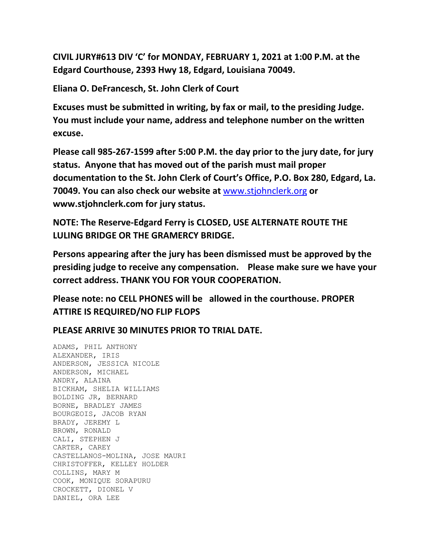**CIVIL JURY#613 DIV 'C' for MONDAY, FEBRUARY 1, 2021 at 1:00 P.M. at the Edgard Courthouse, 2393 Hwy 18, Edgard, Louisiana 70049.**

**Eliana O. DeFrancesch, St. John Clerk of Court**

**Excuses must be submitted in writing, by fax or mail, to the presiding Judge. You must include your name, address and telephone number on the written excuse.**

**Please call 985-267-1599 after 5:00 P.M. the day prior to the jury date, for jury status. Anyone that has moved out of the parish must mail proper documentation to the St. John Clerk of Court's Office, P.O. Box 280, Edgard, La. 70049. You can also check our website at** [www.stjohnclerk.org](http://www.stjohnclerk.org/) **or www.stjohnclerk.com for jury status.**

**NOTE: The Reserve-Edgard Ferry is CLOSED, USE ALTERNATE ROUTE THE LULING BRIDGE OR THE GRAMERCY BRIDGE.**

**Persons appearing after the jury has been dismissed must be approved by the presiding judge to receive any compensation. Please make sure we have your correct address. THANK YOU FOR YOUR COOPERATION.**

**Please note: no CELL PHONES will be allowed in the courthouse. PROPER ATTIRE IS REQUIRED/NO FLIP FLOPS**

**PLEASE ARRIVE 30 MINUTES PRIOR TO TRIAL DATE.**

ADAMS, PHIL ANTHONY ALEXANDER, IRIS ANDERSON, JESSICA NICOLE ANDERSON, MICHAEL ANDRY, ALAINA BICKHAM, SHELIA WILLIAMS BOLDING JR, BERNARD BORNE, BRADLEY JAMES BOURGEOIS, JACOB RYAN BRADY, JEREMY L BROWN, RONALD CALI, STEPHEN J CARTER, CAREY CASTELLANOS-MOLINA, JOSE MAURI CHRISTOFFER, KELLEY HOLDER COLLINS, MARY M COOK, MONIQUE SORAPURU CROCKETT, DIONEL V DANIEL, ORA LEE